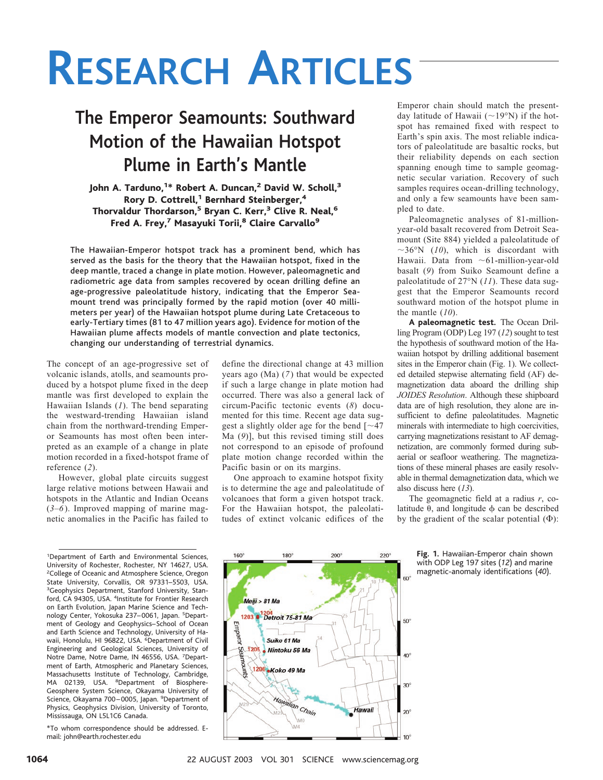# **The Emperor Seamounts: Southward Motion of the Hawaiian Hotspot Plume in Earth's Mantle**

### John A. Tarduno,<sup>1</sup>\* Robert A. Duncan,<sup>2</sup> David W. Scholl,<sup>3</sup> Rory D. Cottrell,<sup>1</sup> Bernhard Steinberger,<sup>4</sup> Thorvaldur Thordarson,<sup>5</sup> Bryan C. Kerr,<sup>3</sup> Clive R. Neal,<sup>6</sup> Fred A. Frey,<sup>7</sup> Masayuki Torii,<sup>8</sup> Claire Carvallo<sup>9</sup>

The Hawaiian-Emperor hotspot track has a prominent bend, which has served as the basis for the theory that the Hawaiian hotspot, fixed in the deep mantle, traced a change in plate motion. However, paleomagnetic and radiometric age data from samples recovered by ocean drilling define an age-progressive paleolatitude history, indicating that the Emperor Seamount trend was principally formed by the rapid motion (over 40 millimeters per year) of the Hawaiian hotspot plume during Late Cretaceous to early-Tertiary times (81 to 47 million years ago). Evidence for motion of the Hawaiian plume affects models of mantle convection and plate tectonics, changing our understanding of terrestrial dynamics.

The concept of an age-progressive set of volcanic islands, atolls, and seamounts produced by a hotspot plume fixed in the deep mantle was first developed to explain the Hawaiian Islands (*1*). The bend separating the westward-trending Hawaiian island chain from the northward-trending Emperor Seamounts has most often been interpreted as an example of a change in plate motion recorded in a fixed-hotspot frame of reference (*2*).

However, global plate circuits suggest large relative motions between Hawaii and hotspots in the Atlantic and Indian Oceans (*3*–*6*). Improved mapping of marine magnetic anomalies in the Pacific has failed to

<sup>1</sup>Department of Earth and Environmental Sciences, University of Rochester, Rochester, NY 14627, USA. <sup>2</sup> College of Oceanic and Atmosphere Science, Oregon State University, Corvallis, OR 97331–5503, USA. <sup>3</sup>Geophysics Department, Stanford University, Stanford, CA 94305, USA. <sup>4</sup>Institute for Frontier Research on Earth Evolution, Japan Marine Science and Technology Center, Yokosuka 237– 0061, Japan. <sup>5</sup> Department of Geology and Geophysics–School of Ocean and Earth Science and Technology, University of Hawaii, Honolulu, HI 96822, USA. <sup>6</sup>Department of Civil Engineering and Geological Sciences, University of Notre Dame, Notre Dame, IN 46556, USA. 7Department of Earth, Atmospheric and Planetary Sciences, Massachusetts Institute of Technology, Cambridge, MA 02139, USA. <sup>8</sup>Department of Biosphere-Geosphere System Science, Okayama University of Science, Okayama 700-0005, Japan. <sup>9</sup>Department of Physics, Geophysics Division, University of Toronto, Mississauga, ON L5L1C6 Canada.

\*To whom correspondence should be addressed.Email: john@earth.rochester.edu

define the directional change at 43 million years ago (Ma) (*7*) that would be expected if such a large change in plate motion had occurred. There was also a general lack of circum-Pacific tectonic events (*8*) documented for this time. Recent age data suggest a slightly older age for the bend  $\lceil \sim 47 \rceil$ Ma (*9*)], but this revised timing still does not correspond to an episode of profound plate motion change recorded within the Pacific basin or on its margins.

One approach to examine hotspot fixity is to determine the age and paleolatitude of volcanoes that form a given hotspot track. For the Hawaiian hotspot, the paleolatitudes of extinct volcanic edifices of the

Emperor chain should match the presentday latitude of Hawaii ( $\sim$ 19°N) if the hotspot has remained fixed with respect to Earth's spin axis. The most reliable indicators of paleolatitude are basaltic rocks, but their reliability depends on each section spanning enough time to sample geomagnetic secular variation. Recovery of such samples requires ocean-drilling technology, and only a few seamounts have been sampled to date.

Paleomagnetic analyses of 81-millionyear-old basalt recovered from Detroit Seamount (Site 884) yielded a paleolatitude of  $\sim$ 36°N (10), which is discordant with Hawaii. Data from  $~1$ -million-year-old basalt (*9*) from Suiko Seamount define a paleolatitude of 27°N (*11*). These data suggest that the Emperor Seamounts record southward motion of the hotspot plume in the mantle (*10*).

**A paleomagnetic test.** The Ocean Drilling Program (ODP) Leg 197 (*12*) sought to test the hypothesis of southward motion of the Hawaiian hotspot by drilling additional basement sites in the Emperor chain (Fig. 1). We collected detailed stepwise alternating field (AF) demagnetization data aboard the drilling ship *JOIDES Resolution*. Although these shipboard data are of high resolution, they alone are insufficient to define paleolatitudes. Magnetic minerals with intermediate to high coercivities, carrying magnetizations resistant to AF demagnetization, are commonly formed during subaerial or seafloor weathering. The magnetizations of these mineral phases are easily resolvable in thermal demagnetization data, which we also discuss here (*13*).

The geomagnetic field at a radius *r*, colatitude  $\theta$ , and longitude  $\phi$  can be described by the gradient of the scalar potential  $(\Phi)$ :

> **Fig. 1.** Hawaiian-Emperor chain shown with ODP Leg 197 sites (*12*) and marine magnetic-anomaly identifications (*40*).

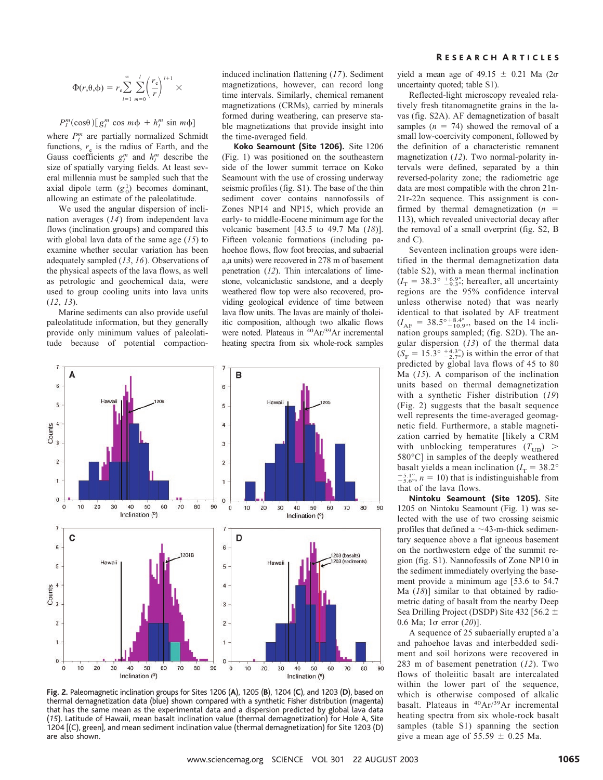$$
\Phi(r,\theta,\phi) = r_{\rm e} \sum_{l=1}^{\infty} \sum_{m=0}^{l} \left(\frac{r_{\rm e}}{r}\right)^{l+1} \times
$$

## $P_l^m(\cos\theta)$  [ $g_l^m \cos m\phi + h_l^m \sin m\phi$ ]

where  $P_l^m$  are partially normalized Schmidt functions,  $r_e$  is the radius of Earth, and the Gauss coefficients  $g_l^m$  and  $h_l^m$  describe the size of spatially varying fields. At least several millennia must be sampled such that the axial dipole term  $(g_0^1)$  becomes dominant, allowing an estimate of the paleolatitude.

We used the angular dispersion of inclination averages (*14*) from independent lava flows (inclination groups) and compared this with global lava data of the same age (*15*) to examine whether secular variation has been adequately sampled (*13*, *16*). Observations of the physical aspects of the lava flows, as well as petrologic and geochemical data, were used to group cooling units into lava units (*12*, *13*).

Marine sediments can also provide useful paleolatitude information, but they generally provide only minimum values of paleolatitude because of potential compactioninduced inclination flattening (*17*). Sediment magnetizations, however, can record long time intervals. Similarly, chemical remanent magnetizations (CRMs), carried by minerals formed during weathering, can preserve stable magnetizations that provide insight into the time-averaged field.

**Koko Seamount (Site 1206).** Site 1206 (Fig. 1) was positioned on the southeastern side of the lower summit terrace on Koko Seamount with the use of crossing underway seismic profiles (fig. S1). The base of the thin sediment cover contains nannofossils of Zones NP14 and NP15, which provide an early- to middle-Eocene minimum age for the volcanic basement [43.5 to 49.7 Ma (*18*)]. Fifteen volcanic formations (including pahoehoe flows, flow foot breccias, and subaerial a,a units) were recovered in 278 m of basement penetration (*12*). Thin intercalations of limestone, volcaniclastic sandstone, and a deeply weathered flow top were also recovered, providing geological evidence of time between lava flow units. The lavas are mainly of tholeiitic composition, although two alkalic flows were noted. Plateaus in <sup>40</sup>Ar/<sup>39</sup>Ar incremental heating spectra from six whole-rock samples



**Fig. 2.** Paleomagnetic inclination groups for Sites 1206 (**A**), 1205 (**B**), 1204 (**C**), and 1203 (**D**), based on thermal demagnetization data (blue) shown compared with a synthetic Fisher distribution (magenta) that has the same mean as the experimental data and a dispersion predicted by global lava data (*15*).Latitude of Hawaii, mean basalt inclination value (thermal demagnetization) for Hole A, Site 1204 [(C), green], and mean sediment inclination value (thermal demagnetization) for Site 1203 (D) are also shown.

yield a mean age of 49.15  $\pm$  0.21 Ma (2 $\sigma$ uncertainty quoted; table S1).

Reflected-light microscopy revealed relatively fresh titanomagnetite grains in the lavas (fig. S2A). AF demagnetization of basalt samples  $(n = 74)$  showed the removal of a small low-coercivity component, followed by the definition of a characteristic remanent magnetization (*12*). Two normal-polarity intervals were defined, separated by a thin reversed-polarity zone; the radiometric age data are most compatible with the chron 21n-21r-22n sequence. This assignment is confirmed by thermal demagnetization (*n* 113), which revealed univectorial decay after the removal of a small overprint (fig. S2, B and C).

Seventeen inclination groups were identified in the thermal demagnetization data (table S2), with a mean thermal inclination  $(I_T = 38.3^{\circ}$   $^{+6.9^{\circ}}_{-9.3^{\circ}}$ ; hereafter, all uncertainty regions are the 95% confidence interval unless otherwise noted) that was nearly identical to that isolated by AF treatment  $(I_{AF} = 38.5^{\circ +8.4^{\circ}}_{-10.9^{\circ}}$ , based on the 14 inclination groups sampled; (fig. S2D). The angular dispersion (*13*) of the thermal data  $(S_F = 15.3^\circ \frac{+4.3^\circ}{-2.7^\circ})$  is within the error of that predicted by global lava flows of 45 to 80 Ma (*15*). A comparison of the inclination units based on thermal demagnetization with a synthetic Fisher distribution (*19*) (Fig. 2) suggests that the basalt sequence well represents the time-averaged geomagnetic field. Furthermore, a stable magnetization carried by hematite [likely a CRM with unblocking temperatures  $(T_{U\text{B}})$  > 580°C] in samples of the deeply weathered basalt yields a mean inclination  $(I_T = 38.2^\circ$  $^{+5.1^{\circ}}_{-5.6^{\circ}}$ ,  $n = 10$ ) that is indistinguishable from that of the lava flows.

**Nintoku Seamount (Site 1205).** Site 1205 on Nintoku Seamount (Fig. 1) was selected with the use of two crossing seismic profiles that defined a  $\sim$ 43-m-thick sedimentary sequence above a flat igneous basement on the northwestern edge of the summit region (fig. S1). Nannofossils of Zone NP10 in the sediment immediately overlying the basement provide a minimum age [53.6 to 54.7 Ma (*18*)] similar to that obtained by radiometric dating of basalt from the nearby Deep Sea Drilling Project (DSDP) Site 432 [56.2 ± 0.6 Ma; 1 error (*20*)].

A sequence of 25 subaerially erupted a'a and pahoehoe lavas and interbedded sediment and soil horizons were recovered in 283 m of basement penetration (*12*). Two flows of tholeiitic basalt are intercalated within the lower part of the sequence, which is otherwise composed of alkalic basalt. Plateaus in <sup>40</sup>Ar/<sup>39</sup>Ar incremental heating spectra from six whole-rock basalt samples (table S1) spanning the section give a mean age of  $55.59 \pm 0.25$  Ma.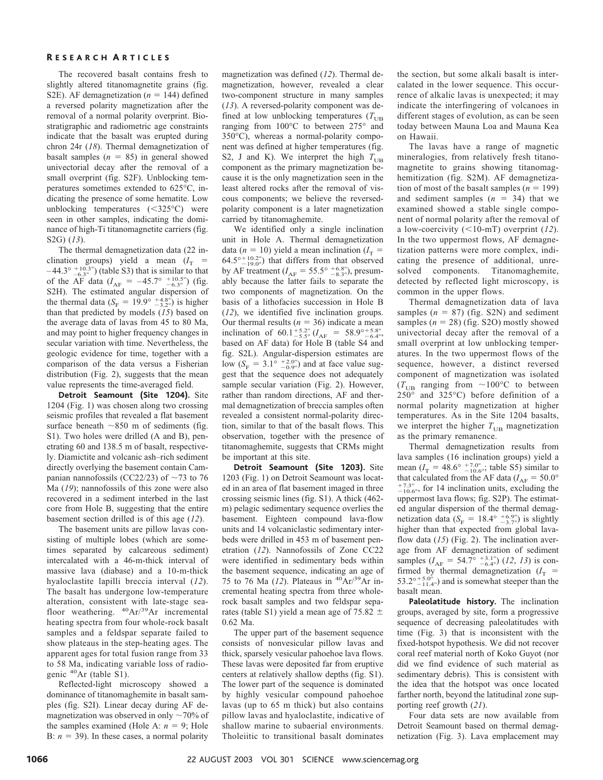The recovered basalt contains fresh to slightly altered titanomagnetite grains (fig. S2E). AF demagnetization  $(n = 144)$  defined a reversed polarity magnetization after the removal of a normal polarity overprint. Biostratigraphic and radiometric age constraints indicate that the basalt was erupted during chron 24r (*18*). Thermal demagnetization of basalt samples  $(n = 85)$  in general showed univectorial decay after the removal of a small overprint (fig. S2F). Unblocking temperatures sometimes extended to 625°C, indicating the presence of some hematite. Low unblocking temperatures  $(<325°C)$  were seen in other samples, indicating the dominance of high-Ti titanomagnetite carriers (fig. S2G) (*13*).

The thermal demagnetization data (22 inclination groups) yield a mean  $(I_T =$  $-44.3^{\circ}$   $^{+10.3^{\circ}}_{-6.3^{\circ}}$ ) (table S3) that is similar to that of the AF data ( $I_{AF}$  = -45.7°  $^{+10.5^{\circ}}_{-6.3^{\circ}}$ ) (fig. S2H). The estimated angular dispersion of the thermal data ( $S_F = 19.9^\circ \frac{+4.8^\circ}{-3.2^\circ}$ ) is higher than that predicted by models (*15*) based on the average data of lavas from 45 to 80 Ma, and may point to higher frequency changes in secular variation with time. Nevertheless, the geologic evidence for time, together with a comparison of the data versus a Fisherian distribution (Fig. 2), suggests that the mean value represents the time-averaged field.

**Detroit Seamount (Site 1204).** Site 1204 (Fig. 1) was chosen along two crossing seismic profiles that revealed a flat basement surface beneath  $\sim$ 850 m of sediments (fig. S1). Two holes were drilled (A and B), penetrating 60 and 138.5 m of basalt, respectively. Diamictite and volcanic ash–rich sediment directly overlying the basement contain Campanian nannofossils (CC22/23) of  $\sim$  73 to 76 Ma (*19*); nannofossils of this zone were also recovered in a sediment interbed in the last core from Hole B, suggesting that the entire basement section drilled is of this age (*12*).

The basement units are pillow lavas consisting of multiple lobes (which are sometimes separated by calcareous sediment) intercalated with a 46-m-thick interval of massive lava (diabase) and a 10-m-thick hyaloclastite lapilli breccia interval (*12*). The basalt has undergone low-temperature alteration, consistent with late-stage seafloor weathering. 40Ar/39Ar incremental heating spectra from four whole-rock basalt samples and a feldspar separate failed to show plateaus in the step-heating ages. The apparent ages for total fusion range from 33 to 58 Ma, indicating variable loss of radiogenic 40Ar (table S1).

Reflected-light microscopy showed a dominance of titanomaghemite in basalt samples (fig. S2I). Linear decay during AF demagnetization was observed in only  $\sim$  70% of the samples examined (Hole A:  $n = 9$ ; Hole B:  $n = 39$ ). In these cases, a normal polarity

magnetization was defined (*12*). Thermal demagnetization, however, revealed a clear two-component structure in many samples (*13*). A reversed-polarity component was defined at low unblocking temperatures  $(T_{UB}$ ranging from 100°C to between 275° and 350°C), whereas a normal-polarity component was defined at higher temperatures (fig. S2, J and K). We interpret the high  $T_{UB}$ component as the primary magnetization because it is the only magnetization seen in the least altered rocks after the removal of viscous components; we believe the reversedpolarity component is a later magnetization carried by titanomaghemite.

We identified only a single inclination unit in Hole A. Thermal demagnetization data ( $n = 10$ ) yield a mean inclination ( $I_T =$  $64.5^{\circ}$  +  $19.0^{\circ}$  that differs from that observed by AF treatment ( $I_{AF} = 55.5^{\circ} \frac{+6.8^{\circ}}{-8.3^{\circ}}$ ), presumably because the latter fails to separate the two components of magnetization. On the basis of a lithofacies succession in Hole B (*12*), we identified five inclination groups. Our thermal results  $(n = 36)$  indicate a mean inclination of  $60.1^{+5.2^{\circ}}_{-5.5^{\circ}}$  ( $I_{AF}$  =  $58.9^{\circ}{}_{-6.4^{\circ}}^{+5.8^{\circ}}$ based on AF data) for Hole B (table S4 and fig. S2L). Angular-dispersion estimates are low  $(S_F = 3.1^\circ \frac{+2.0^\circ}{-0.9^\circ})$  and at face value suggest that the sequence does not adequately sample secular variation (Fig. 2). However, rather than random directions, AF and thermal demagnetization of breccia samples often revealed a consistent normal-polarity direction, similar to that of the basalt flows. This observation, together with the presence of titanomaghemite, suggests that CRMs might be important at this site.

**Detroit Seamount (Site 1203).** Site 1203 (Fig. 1) on Detroit Seamount was located in an area of flat basement imaged in three crossing seismic lines (fig. S1). A thick (462 m) pelagic sedimentary sequence overlies the basement. Eighteen compound lava-flow units and 14 volcaniclastic sedimentary interbeds were drilled in 453 m of basement penetration (*12*). Nannofossils of Zone CC22 were identified in sedimentary beds within the basement sequence, indicating an age of 75 to 76 Ma (*12*). Plateaus in 40Ar/39Ar incremental heating spectra from three wholerock basalt samples and two feldspar separates (table S1) yield a mean age of 75.82  $\pm$ 0.62 Ma.

The upper part of the basement sequence consists of nonvesicular pillow lavas and thick, sparsely vesicular pahoehoe lava flows. These lavas were deposited far from eruptive centers at relatively shallow depths (fig. S1). The lower part of the sequence is dominated by highly vesicular compound pahoehoe lavas (up to 65 m thick) but also contains pillow lavas and hyaloclastite, indicative of shallow marine to subaerial environments. Tholeiitic to transitional basalt dominates

the section, but some alkali basalt is intercalated in the lower sequence. This occurrence of alkalic lavas is unexpected; it may indicate the interfingering of volcanoes in different stages of evolution, as can be seen today between Mauna Loa and Mauna Kea on Hawaii.

The lavas have a range of magnetic mineralogies, from relatively fresh titanomagnetite to grains showing titanomaghemitization (fig. S2M). AF demagnetization of most of the basalt samples  $(n = 199)$ and sediment samples  $(n = 34)$  that we examined showed a stable single component of normal polarity after the removal of a low-coercivity  $(<10-mT)$  overprint (12). In the two uppermost flows, AF demagnetization patterns were more complex, indicating the presence of additional, unresolved components. Titanomaghemite, detected by reflected light microscopy, is common in the upper flows.

Thermal demagnetization data of lava samples  $(n = 87)$  (fig. S2N) and sediment samples  $(n = 28)$  (fig. S2O) mostly showed univectorial decay after the removal of a small overprint at low unblocking temperatures. In the two uppermost flows of the sequence, however, a distinct reversed component of magnetization was isolated  $(T_{UB}$  ranging from ~100°C to between 250° and 325°C) before definition of a normal polarity magnetization at higher temperatures. As in the Site 1204 basalts, we interpret the higher  $T_{UB}$  magnetization as the primary remanence.

Thermal demagnetization results from lava samples (16 inclination groups) yield a mean ( $I_T = 48.6^{\circ}$   $^{+7.0^{\circ}}_{-10.6^{\circ}}$ ; table S5) similar to that calculated from the AF data ( $I_{AF} = 50.0^{\circ}$  $^{+7.3^{\circ}}_{-10.6^{\circ}}$ , for 14 inclination units, excluding the uppermost lava flows; fig. S2P). The estimated angular dispersion of the thermal demagnetization data ( $S_F = 18.4^\circ \frac{+6.9^\circ}{-3.7^\circ}$ ) is slightly higher than that expected from global lavaflow data (*15*) (Fig. 2). The inclination average from AF demagnetization of sediment samples  $(I_{AF} = 54.7^{\circ} \stackrel{+3.1^{\circ}}{_{-6.4^{\circ}}} (12, 13)$  is confirmed by thermal demagnetization  $(I<sub>T</sub>$  = 53.2°<sup> $+5.0^\circ$ </sup> and is somewhat steeper than the basalt mean.

**Paleolatitude history.** The inclination groups, averaged by site, form a progressive sequence of decreasing paleolatitudes with time (Fig. 3) that is inconsistent with the fixed-hotspot hypothesis. We did not recover coral reef material north of Koko Guyot (nor did we find evidence of such material as sedimentary debris). This is consistent with the idea that the hotspot was once located farther north, beyond the latitudinal zone supporting reef growth (*21*).

Four data sets are now available from Detroit Seamount based on thermal demagnetization (Fig. 3). Lava emplacement may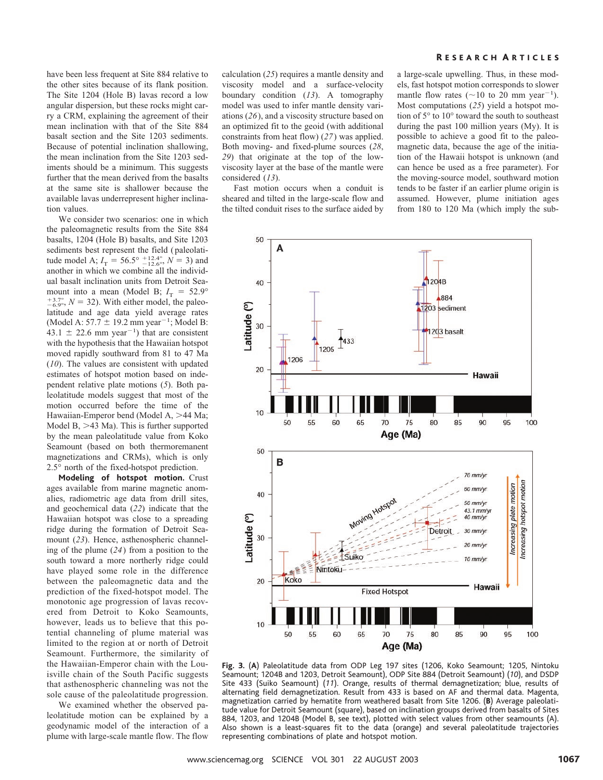have been less frequent at Site 884 relative to the other sites because of its flank position. The Site 1204 (Hole B) lavas record a low angular dispersion, but these rocks might carry a CRM, explaining the agreement of their mean inclination with that of the Site 884 basalt section and the Site 1203 sediments. Because of potential inclination shallowing, the mean inclination from the Site 1203 sediments should be a minimum. This suggests further that the mean derived from the basalts at the same site is shallower because the available lavas underrepresent higher inclination values.

We consider two scenarios: one in which the paleomagnetic results from the Site 884 basalts, 1204 (Hole B) basalts, and Site 1203 sediments best represent the field (paleolatitude model A;  $I_T = 56.5^{\circ}$   $^{+12.4^{\circ}}_{-12.6^{\circ}}$ ,  $N = 3$ ) and another in which we combine all the individual basalt inclination units from Detroit Seamount into a mean (Model B;  $I_T = 52.9^\circ$  $^{+3.7^{\circ}}_{-6.9^{\circ}}$ ,  $N = 32$ ). With either model, the paleolatitude and age data yield average rates (Model A:  $57.7 \pm 19.2$  mm year<sup>-1</sup>; Model B:  $43.1 \pm 22.6$  mm year<sup>-1</sup>) that are consistent with the hypothesis that the Hawaiian hotspot moved rapidly southward from 81 to 47 Ma (*10*). The values are consistent with updated estimates of hotspot motion based on independent relative plate motions (*5*). Both paleolatitude models suggest that most of the motion occurred before the time of the Hawaiian-Emperor bend (Model A, >44 Ma; Model B,  $>43$  Ma). This is further supported by the mean paleolatitude value from Koko Seamount (based on both thermoremanent magnetizations and CRMs), which is only 2.5° north of the fixed-hotspot prediction.

**Modeling of hotspot motion.** Crust ages available from marine magnetic anomalies, radiometric age data from drill sites, and geochemical data (*22*) indicate that the Hawaiian hotspot was close to a spreading ridge during the formation of Detroit Seamount (*23*). Hence, asthenospheric channeling of the plume (*24*) from a position to the south toward a more northerly ridge could have played some role in the difference between the paleomagnetic data and the prediction of the fixed-hotspot model. The monotonic age progression of lavas recovered from Detroit to Koko Seamounts, however, leads us to believe that this potential channeling of plume material was limited to the region at or north of Detroit Seamount. Furthermore, the similarity of the Hawaiian-Emperor chain with the Louisville chain of the South Pacific suggests that asthenospheric channeling was not the sole cause of the paleolatitude progression.

We examined whether the observed paleolatitude motion can be explained by a geodynamic model of the interaction of a plume with large-scale mantle flow. The flow

calculation (*25*) requires a mantle density and viscosity model and a surface-velocity boundary condition (*13*). A tomography model was used to infer mantle density variations (*26*), and a viscosity structure based on an optimized fit to the geoid (with additional constraints from heat flow) (*27*) was applied. Both moving- and fixed-plume sources (*28*, *29*) that originate at the top of the lowviscosity layer at the base of the mantle were considered (*13*).

Fast motion occurs when a conduit is sheared and tilted in the large-scale flow and the tilted conduit rises to the surface aided by

a large-scale upwelling. Thus, in these models, fast hotspot motion corresponds to slower mantle flow rates ( $\sim$ 10 to 20 mm year<sup>-1</sup>). Most computations (*25*) yield a hotspot motion of 5° to 10° toward the south to southeast during the past 100 million years (My). It is possible to achieve a good fit to the paleomagnetic data, because the age of the initiation of the Hawaii hotspot is unknown (and can hence be used as a free parameter). For the moving-source model, southward motion tends to be faster if an earlier plume origin is assumed. However, plume initiation ages from 180 to 120 Ma (which imply the sub-



**Fig. 3.** (**A**) Paleolatitude data from ODP Leg 197 sites (1206, Koko Seamount; 1205, Nintoku Seamount; 1204B and 1203, Detroit Seamount), ODP Site 884 (Detroit Seamount) (*10*), and DSDP Site 433 (Suiko Seamount) (*11*).Orange, results of thermal demagnetization; blue, results of alternating field demagnetization. Result from 433 is based on AF and thermal data. Magenta, magnetization carried by hematite from weathered basalt from Site 1206.(**B**) Average paleolatitude value for Detroit Seamount (square), based on inclination groups derived from basalts of Sites 884, 1203, and 1204B (Model B, see text), plotted with select values from other seamounts (A). Also shown is a least-squares fit to the data (orange) and several paleolatitude trajectories representing combinations of plate and hotspot motion.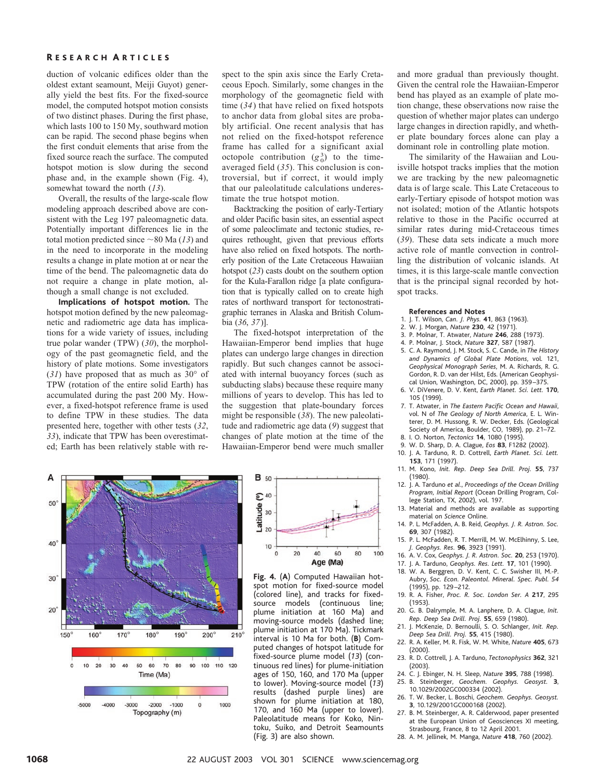duction of volcanic edifices older than the oldest extant seamount, Meiji Guyot) generally yield the best fits. For the fixed-source model, the computed hotspot motion consists of two distinct phases. During the first phase, which lasts 100 to 150 My, southward motion can be rapid. The second phase begins when the first conduit elements that arise from the fixed source reach the surface. The computed hotspot motion is slow during the second phase and, in the example shown (Fig. 4), somewhat toward the north (*13*).

Overall, the results of the large-scale flow modeling approach described above are consistent with the Leg 197 paleomagnetic data. Potentially important differences lie in the total motion predicted since  $\sim$  80 Ma (13) and in the need to incorporate in the modeling results a change in plate motion at or near the time of the bend. The paleomagnetic data do not require a change in plate motion, although a small change is not excluded.

**Implications of hotspot motion.** The hotspot motion defined by the new paleomagnetic and radiometric age data has implications for a wide variety of issues, including true polar wander (TPW) (*30*), the morphology of the past geomagnetic field, and the history of plate motions. Some investigators (*31*) have proposed that as much as 30° of TPW (rotation of the entire solid Earth) has accumulated during the past 200 My. However, a fixed-hotspot reference frame is used to define TPW in these studies. The data presented here, together with other tests (*32*, *33*), indicate that TPW has been overestimated; Earth has been relatively stable with re-

spect to the spin axis since the Early Cretaceous Epoch. Similarly, some changes in the morphology of the geomagnetic field with time (*34*) that have relied on fixed hotspots to anchor data from global sites are probably artificial. One recent analysis that has not relied on the fixed-hotspot reference frame has called for a significant axial octopole contribution  $(g_0^3)$  to the timeaveraged field (*35*). This conclusion is controversial, but if correct, it would imply that our paleolatitude calculations underestimate the true hotspot motion.

Backtracking the position of early-Tertiary and older Pacific basin sites, an essential aspect of some paleoclimate and tectonic studies, requires rethought, given that previous efforts have also relied on fixed hotspots. The northerly position of the Late Cretaceous Hawaiian hotspot (*23*) casts doubt on the southern option for the Kula-Farallon ridge [a plate configuration that is typically called on to create high rates of northward transport for tectonostratigraphic terranes in Alaska and British Columbia (*36*, *37*)].

The fixed-hotspot interpretation of the Hawaiian-Emperor bend implies that huge plates can undergo large changes in direction rapidly. But such changes cannot be associated with internal buoyancy forces (such as subducting slabs) because these require many millions of years to develop. This has led to the suggestion that plate-boundary forces might be responsible (*38*). The new paleolatitude and radiometric age data (*9*) suggest that changes of plate motion at the time of the Hawaiian-Emperor bend were much smaller

and more gradual than previously thought. Given the central role the Hawaiian-Emperor bend has played as an example of plate motion change, these observations now raise the question of whether major plates can undergo large changes in direction rapidly, and whether plate boundary forces alone can play a dominant role in controlling plate motion.

The similarity of the Hawaiian and Louisville hotspot tracks implies that the motion we are tracking by the new paleomagnetic data is of large scale. This Late Cretaceous to early-Tertiary episode of hotspot motion was not isolated; motion of the Atlantic hotspots relative to those in the Pacific occurred at similar rates during mid-Cretaceous times (*39*). These data sets indicate a much more active role of mantle convection in controlling the distribution of volcanic islands. At times, it is this large-scale mantle convection that is the principal signal recorded by hotspot tracks.

#### **References and Notes**

- 1. J.T.Wilson, *Can. J. Phys.* **41**, 863 (1963).
- 2. W.J.Morgan, *Nature* **230**, 42 (1971).
- 3. P.Molnar, T.Atwater, *Nature* **246**, 288 (1973).
- 4. P.Molnar, J.Stock, *Nature* **327**, 587 (1987).
- 5. C.A.Raymond, J.M.Stock, S.C.Cande, in *The History and Dynamics of Global Plate Motions*, vol.121, *Geophysical Monograph Series*, M.A.Richards, R.G. Gordon, R.D.van der Hilst, Eds.(American Geophysical Union, Washington, DC, 2000), pp.359 –375.
- 6. V.DiVenere, D.V.Kent, *Earth Planet. Sci. Lett.* **170**, 105 (1999).
- 7.T.Atwater, in *The Eastern Pacific Ocean and Hawaii*, vol. N of *The Geology of North America*, E. L. Winterer, D.M.Hussong, R.W.Decker, Eds.(Geological Society of America, Boulder, CO, 1989), pp.21–72.
- 8. I.O.Norton, *Tectonics* **14**, 1080 (1995).
- 9. W.D.Sharp, D.A.Clague, *Eos* **83**, F1282 (2002). 10. J.A.Tarduno, R.D.Cottrell, *Earth Planet. Sci. Lett.*
- **153**, 171 (1997).
- 11.M.Kono, *Init. Rep. Deep Sea Drill. Proj.* **55**, 737 (1980).
- 12. J.A.Tarduno *et al*., *Proceedings of the Ocean Drilling Program, Initial Report* (Ocean Drilling Program, College Station, TX, 2002), vol.197.
- 13. Material and methods are available as supporting material on *Science* Online.
- 14. P.L.McFadden, A.B.Reid, *Geophys. J. R. Astron. Soc.* **69**, 307 (1982).
- 15. P.L.McFadden, R.T.Merrill, M.W.McElhinny, S.Lee, *J. Geophys. Res.* **96**, 3923 (1991).
- 16. A.V.Cox, *Geophys. J. R. Astron. Soc.* **20**, 253 (1970).
- 17. J.A.Tarduno, *Geophys. Res. Lett.* **17**, 101 (1990).
- 18.W.A.Berggren, D.V.Kent, C.C.Swisher III, M.-P. Aubry, *Soc. Econ. Paleontol. Mineral. Spec. Publ. 54* (1995), pp.129 –212.
- 19.R.A.Fisher, *Proc. R. Soc. London Ser. A* **217**, 295 (1953).
- 20. G. B. Dalrymple, M. A. Lanphere, D. A. Clague, *Init. Rep. Deep Sea Drill. Proj.* **55**, 659 (1980).
- 21. J.McKenzie, D.Bernoulli, S.O.Schlanger, *Init. Rep. Deep Sea Drill. Proj.* **55**, 415 (1980).
- 22. R.A.Keller, M.R.Fisk, W.M.White, *Nature* **405**, 673 (2000).
- 23. R.D.Cottrell, J.A.Tarduno, *Tectonophysics* **362**, 321 (2003).
- 24. C.J.Ebinger, N.H.Sleep, *Nature* **395**, 788 (1998).
- 25.B. Steinberger, *Geochem. Geophys. Geosyst.* **3**, 10.1029/2002GC000334 (2002).
- 26. T.W.Becker, L.Boschi, *Geochem. Geophys. Geosyst.* **3**, 10.129/2001GC000168 (2002).
- 27. B. M. Steinberger, A. R. Calderwood, paper presented at the European Union of Geosciences XI meeting, Strasbourg, France, 8 to 12 April 2001.
- 28. A.M.Jellinek, M.Manga, *Nature* **418**, 760 (2002).



**B** 50  $\mathbf{C}$  40 Latitude 10  $\mathbf 0$  $20$ 40 60 80 100 Age (Ma)

**Fig. 4.** (**A**) Computed Hawaiian hotspot motion for fixed-source model (colored line), and tracks for fixedsource models (continuous line; plume initiation at 160 Ma) and moving-source models (dashed line; plume initiation at 170 Ma). Tickmark interval is 10 Ma for both.(**B**) Computed changes of hotspot latitude for fixed-source plume model (*13*) (continuous red lines) for plume-initiation ages of 150, 160, and 170 Ma (upper to lower). Moving-source model (13) results (dashed purple lines) are shown for plume initiation at 180, 170, and 160 Ma (upper to lower). Paleolatitude means for Koko, Nintoku, Suiko, and Detroit Seamounts (Fig.3) are also shown.